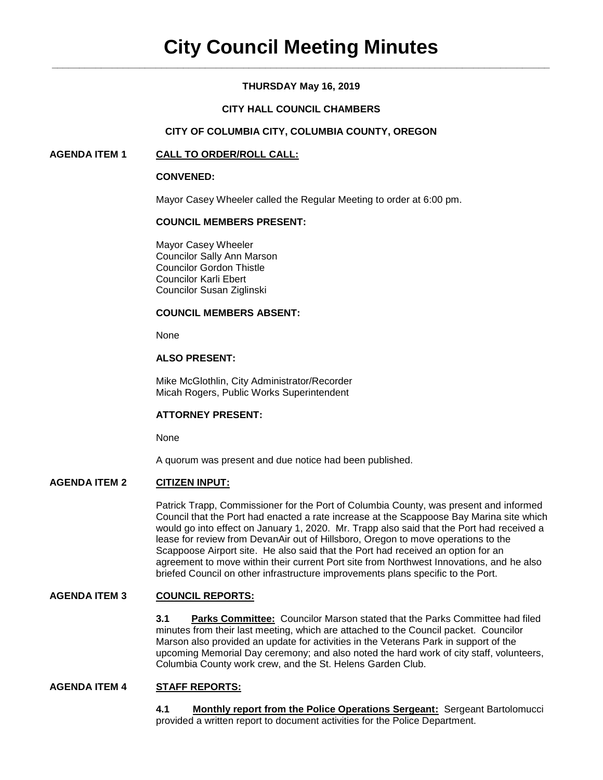# **THURSDAY May 16, 2019**

## **CITY HALL COUNCIL CHAMBERS**

## **CITY OF COLUMBIA CITY, COLUMBIA COUNTY, OREGON**

## **AGENDA ITEM 1 CALL TO ORDER/ROLL CALL:**

#### **CONVENED:**

Mayor Casey Wheeler called the Regular Meeting to order at 6:00 pm.

### **COUNCIL MEMBERS PRESENT:**

Mayor Casey Wheeler Councilor Sally Ann Marson Councilor Gordon Thistle Councilor Karli Ebert Councilor Susan Ziglinski

### **COUNCIL MEMBERS ABSENT:**

None

## **ALSO PRESENT:**

Mike McGlothlin, City Administrator/Recorder Micah Rogers, Public Works Superintendent

#### **ATTORNEY PRESENT:**

None

A quorum was present and due notice had been published.

## **AGENDA ITEM 2 CITIZEN INPUT:**

Patrick Trapp, Commissioner for the Port of Columbia County, was present and informed Council that the Port had enacted a rate increase at the Scappoose Bay Marina site which would go into effect on January 1, 2020. Mr. Trapp also said that the Port had received a lease for review from DevanAir out of Hillsboro, Oregon to move operations to the Scappoose Airport site. He also said that the Port had received an option for an agreement to move within their current Port site from Northwest Innovations, and he also briefed Council on other infrastructure improvements plans specific to the Port.

## **AGENDA ITEM 3 COUNCIL REPORTS:**

**3.1 Parks Committee:** Councilor Marson stated that the Parks Committee had filed minutes from their last meeting, which are attached to the Council packet. Councilor Marson also provided an update for activities in the Veterans Park in support of the upcoming Memorial Day ceremony; and also noted the hard work of city staff, volunteers, Columbia County work crew, and the St. Helens Garden Club.

#### **AGENDA ITEM 4 STAFF REPORTS:**

**4.1 Monthly report from the Police Operations Sergeant:** Sergeant Bartolomucci provided a written report to document activities for the Police Department.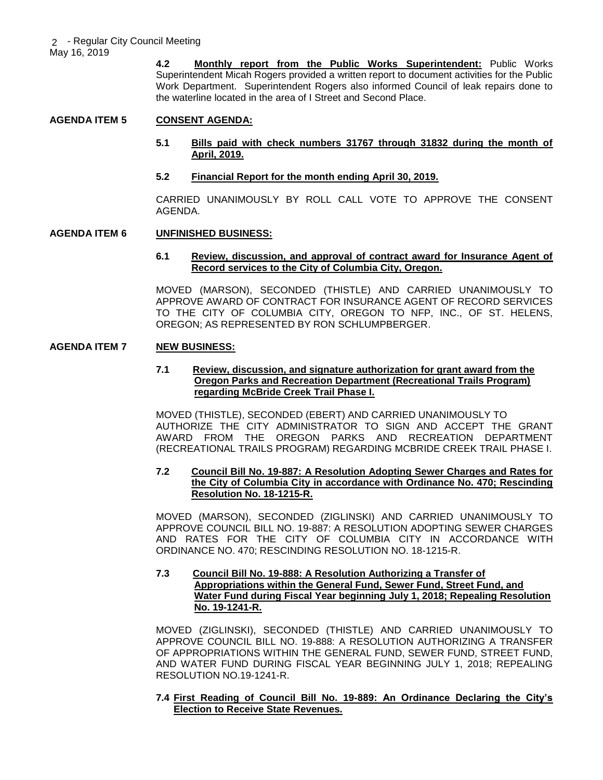May 16, 2019

**4.2 Monthly report from the Public Works Superintendent:** Public Works Superintendent Micah Rogers provided a written report to document activities for the Public Work Department. Superintendent Rogers also informed Council of leak repairs done to the waterline located in the area of I Street and Second Place.

## **AGENDA ITEM 5 CONSENT AGENDA:**

## **5.1 Bills paid with check numbers 31767 through 31832 during the month of April, 2019.**

#### **5.2 Financial Report for the month ending April 30, 2019.**

CARRIED UNANIMOUSLY BY ROLL CALL VOTE TO APPROVE THE CONSENT AGENDA.

## **AGENDA ITEM 6 UNFINISHED BUSINESS:**

#### **6.1 Review, discussion, and approval of contract award for Insurance Agent of Record services to the City of Columbia City, Oregon.**

MOVED (MARSON), SECONDED (THISTLE) AND CARRIED UNANIMOUSLY TO APPROVE AWARD OF CONTRACT FOR INSURANCE AGENT OF RECORD SERVICES TO THE CITY OF COLUMBIA CITY, OREGON TO NFP, INC., OF ST. HELENS, OREGON; AS REPRESENTED BY RON SCHLUMPBERGER.

## **AGENDA ITEM 7 NEW BUSINESS:**

## **7.1 Review, discussion, and signature authorization for grant award from the Oregon Parks and Recreation Department (Recreational Trails Program) regarding McBride Creek Trail Phase I.**

MOVED (THISTLE), SECONDED (EBERT) AND CARRIED UNANIMOUSLY TO AUTHORIZE THE CITY ADMINISTRATOR TO SIGN AND ACCEPT THE GRANT AWARD FROM THE OREGON PARKS AND RECREATION DEPARTMENT (RECREATIONAL TRAILS PROGRAM) REGARDING MCBRIDE CREEK TRAIL PHASE I.

### **7.2 Council Bill No. 19-887: A Resolution Adopting Sewer Charges and Rates for the City of Columbia City in accordance with Ordinance No. 470; Rescinding Resolution No. 18-1215-R.**

MOVED (MARSON), SECONDED (ZIGLINSKI) AND CARRIED UNANIMOUSLY TO APPROVE COUNCIL BILL NO. 19-887: A RESOLUTION ADOPTING SEWER CHARGES AND RATES FOR THE CITY OF COLUMBIA CITY IN ACCORDANCE WITH ORDINANCE NO. 470; RESCINDING RESOLUTION NO. 18-1215-R.

#### **7.3 Council Bill No. 19-888: A Resolution Authorizing a Transfer of Appropriations within the General Fund, Sewer Fund, Street Fund, and Water Fund during Fiscal Year beginning July 1, 2018; Repealing Resolution No. 19-1241-R.**

MOVED (ZIGLINSKI), SECONDED (THISTLE) AND CARRIED UNANIMOUSLY TO APPROVE COUNCIL BILL NO. 19-888: A RESOLUTION AUTHORIZING A TRANSFER OF APPROPRIATIONS WITHIN THE GENERAL FUND, SEWER FUND, STREET FUND, AND WATER FUND DURING FISCAL YEAR BEGINNING JULY 1, 2018; REPEALING RESOLUTION NO.19-1241-R.

### **7.4 First Reading of Council Bill No. 19-889: An Ordinance Declaring the City's Election to Receive State Revenues.**